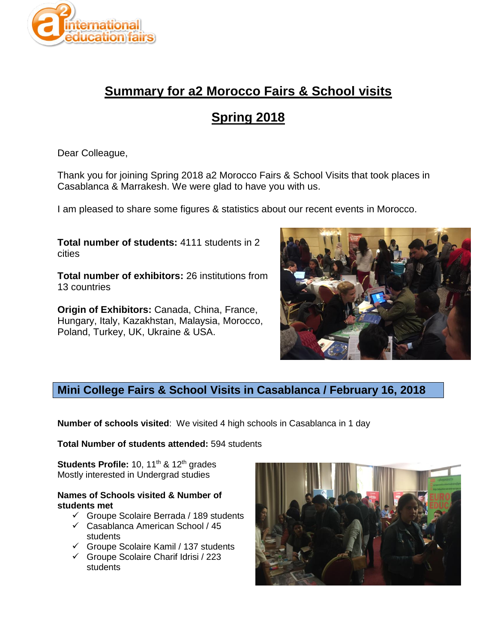

# **Summary for a2 Morocco Fairs & School visits**

# **Spring 2018**

Dear Colleague,

Thank you for joining Spring 2018 a2 Morocco Fairs & School Visits that took places in Casablanca & Marrakesh. We were glad to have you with us.

I am pleased to share some figures & statistics about our recent events in Morocco.

**Total number of students:** 4111 students in 2 cities

**Total number of exhibitors:** 26 institutions from 13 countries

**Origin of Exhibitors:** Canada, China, France, Hungary, Italy, Kazakhstan, Malaysia, Morocco, Poland, Turkey, UK, Ukraine & USA.



# **Mini College Fairs & School Visits in Casablanca / February 16, 2018**

**Number of schools visited**: We visited 4 high schools in Casablanca in 1 day

**Total Number of students attended:** 594 students

**Students Profile:** 10, 11<sup>th</sup> & 12<sup>th</sup> grades Mostly interested in Undergrad studies

#### **Names of Schools visited & Number of students met**

- $\checkmark$  Groupe Scolaire Berrada / 189 students
- $\checkmark$  Casablanca American School / 45 students
- $\checkmark$  Groupe Scolaire Kamil / 137 students
- Groupe Scolaire Charif Idrisi / 223 students

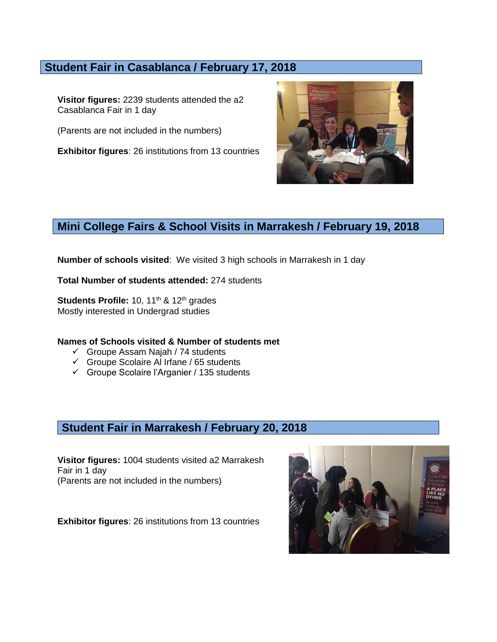### **Student Fair in Casablanca / February 17, 2018**

**Visitor figures:** 2239 students attended the a2 Casablanca Fair in 1 day

(Parents are not included in the numbers)

**Exhibitor figures**: 26 institutions from 13 countries



## **Mini College Fairs & School Visits in Marrakesh / February 19, 2018**

**Number of schools visited**: We visited 3 high schools in Marrakesh in 1 day

**Total Number of students attended:** 274 students

**Students Profile:** 10, 11<sup>th</sup> & 12<sup>th</sup> grades Mostly interested in Undergrad studies

#### **Names of Schools visited & Number of students met**

- $\checkmark$  Groupe Assam Najah / 74 students
- $\checkmark$  Groupe Scolaire Al Irfane / 65 students
- $\checkmark$  Groupe Scolaire l'Arganier / 135 students

### **Student Fair in Marrakesh / February 20, 2018**

**Visitor figures:** 1004 students visited a2 Marrakesh Fair in 1 day (Parents are not included in the numbers)

**Exhibitor figures**: 26 institutions from 13 countries

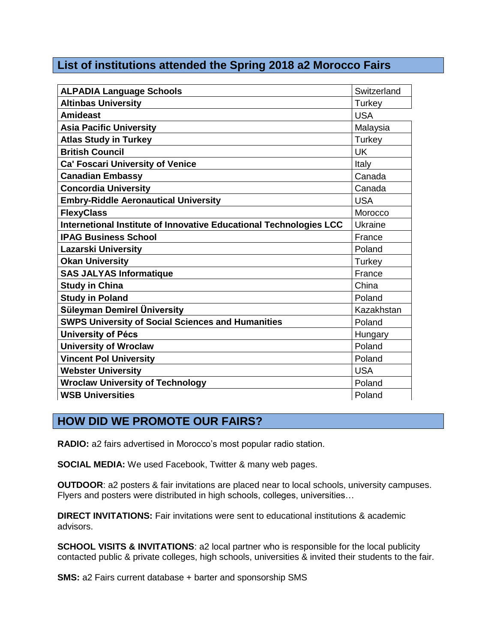## **List of institutions attended the Spring 2018 a2 Morocco Fairs**

| <b>ALPADIA Language Schools</b>                                    | Switzerland |
|--------------------------------------------------------------------|-------------|
| <b>Altinbas University</b>                                         | Turkey      |
| <b>Amideast</b>                                                    | <b>USA</b>  |
| <b>Asia Pacific University</b>                                     | Malaysia    |
| <b>Atlas Study in Turkey</b>                                       | Turkey      |
| <b>British Council</b>                                             | <b>UK</b>   |
| <b>Ca' Foscari University of Venice</b>                            | Italy       |
| <b>Canadian Embassy</b>                                            | Canada      |
| <b>Concordia University</b>                                        | Canada      |
| <b>Embry-Riddle Aeronautical University</b>                        | <b>USA</b>  |
| <b>FlexyClass</b>                                                  | Morocco     |
| Internetional Institute of Innovative Educational Technologies LCC | Ukraine     |
| <b>IPAG Business School</b>                                        | France      |
| <b>Lazarski University</b>                                         | Poland      |
| <b>Okan University</b>                                             | Turkey      |
| <b>SAS JALYAS Informatique</b>                                     | France      |
| <b>Study in China</b>                                              | China       |
| <b>Study in Poland</b>                                             | Poland      |
| Süleyman Demirel Üniversity                                        | Kazakhstan  |
| <b>SWPS University of Social Sciences and Humanities</b>           | Poland      |
| <b>University of Pécs</b>                                          | Hungary     |
| <b>University of Wroclaw</b>                                       | Poland      |
| <b>Vincent Pol University</b>                                      | Poland      |
| <b>Webster University</b>                                          | <b>USA</b>  |
| <b>Wroclaw University of Technology</b>                            | Poland      |
| <b>WSB Universities</b>                                            | Poland      |

# **HOW DID WE PROMOTE OUR FAIRS?**

**RADIO:** a2 fairs advertised in Morocco's most popular radio station.

**SOCIAL MEDIA:** We used Facebook, Twitter & many web pages.

**OUTDOOR**: a2 posters & fair invitations are placed near to local schools, university campuses. Flyers and posters were distributed in high schools, colleges, universities…

**DIRECT INVITATIONS:** Fair invitations were sent to educational institutions & academic advisors.

**SCHOOL VISITS & INVITATIONS:** a2 local partner who is responsible for the local publicity contacted public & private colleges, high schools, universities & invited their students to the fair.

**SMS:** a2 Fairs current database + barter and sponsorship SMS